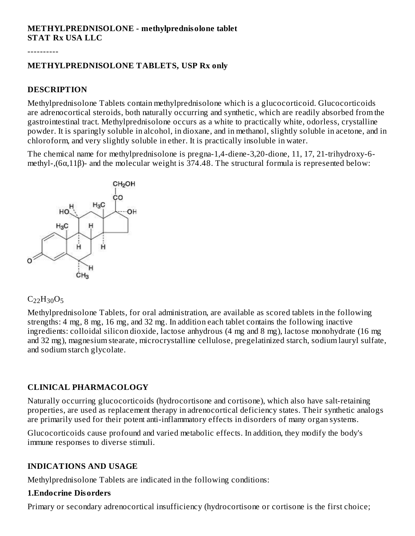#### **METHYLPREDNISOLONE - methylprednisolone tablet STAT Rx USA LLC**

----------

#### **METHYLPREDNISOLONE TABLETS, USP Rx only**

#### **DESCRIPTION**

Methylprednisolone Tablets contain methylprednisolone which is a glucocorticoid. Glucocorticoids are adrenocortical steroids, both naturally occurring and synthetic, which are readily absorbed from the gastrointestinal tract. Methylprednisolone occurs as a white to practically white, odorless, crystalline powder. It is sparingly soluble in alcohol, in dioxane, and in methanol, slightly soluble in acetone, and in chloroform, and very slightly soluble in ether. It is practically insoluble in water.

The chemical name for methylprednisolone is pregna-1,4-diene-3,20-dione, 11, 17, 21-trihydroxy-6 methyl-,(6α,11β)- and the molecular weight is 374.48. The structural formula is represented below:



# $C_{22}H_{30}O_5$

Methylprednisolone Tablets, for oral administration, are available as scored tablets in the following strengths: 4 mg, 8 mg, 16 mg, and 32 mg. In addition each tablet contains the following inactive ingredients: colloidal silicon dioxide, lactose anhydrous (4 mg and 8 mg), lactose monohydrate (16 mg and 32 mg), magnesium stearate, microcrystalline cellulose, pregelatinized starch, sodium lauryl sulfate, and sodium starch glycolate.

## **CLINICAL PHARMACOLOGY**

Naturally occurring glucocorticoids (hydrocortisone and cortisone), which also have salt-retaining properties, are used as replacement therapy in adrenocortical deficiency states. Their synthetic analogs are primarily used for their potent anti-inflammatory effects in disorders of many organ systems.

Glucocorticoids cause profound and varied metabolic effects. In addition, they modify the body's immune responses to diverse stimuli.

## **INDICATIONS AND USAGE**

Methylprednisolone Tablets are indicated in the following conditions:

#### **1.Endocrine Disorders**

Primary or secondary adrenocortical insufficiency (hydrocortisone or cortisone is the first choice;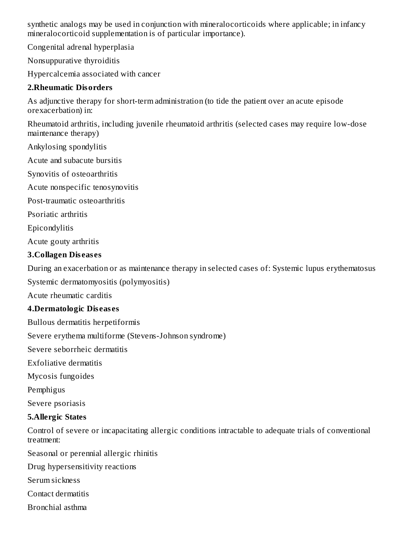synthetic analogs may be used in conjunction with mineralocorticoids where applicable; in infancy mineralocorticoid supplementation is of particular importance).

Congenital adrenal hyperplasia

Nonsuppurative thyroiditis

Hypercalcemia associated with cancer

## **2.Rheumatic Disorders**

As adjunctive therapy for short-term administration (to tide the patient over an acute episode orexacerbation) in:

Rheumatoid arthritis, including juvenile rheumatoid arthritis (selected cases may require low-dose maintenance therapy)

Ankylosing spondylitis

Acute and subacute bursitis

Synovitis of osteoarthritis

Acute nonspecific tenosynovitis

Post-traumatic osteoarthritis

Psoriatic arthritis

Epicondylitis

Acute gouty arthritis

## **3.Collagen Dis eas es**

During an exacerbation or as maintenance therapy in selected cases of: Systemic lupus erythematosus

Systemic dermatomyositis (polymyositis)

Acute rheumatic carditis

## **4.Dermatologic Dis eas es**

Bullous dermatitis herpetiformis

Severe erythema multiforme (Stevens-Johnson syndrome)

Severe seborrheic dermatitis

Exfoliative dermatitis

Mycosis fungoides

Pemphigus

Severe psoriasis

## **5.Allergic States**

Control of severe or incapacitating allergic conditions intractable to adequate trials of conventional treatment:

Seasonal or perennial allergic rhinitis

Drug hypersensitivity reactions

Serum sickness

Contact dermatitis

Bronchial asthma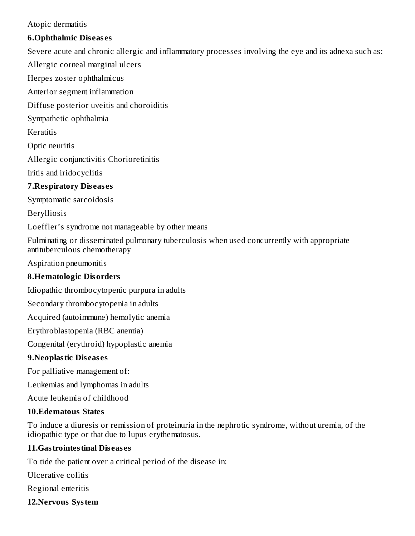#### Atopic dermatitis

#### **6.Ophthalmic Dis eas es**

Severe acute and chronic allergic and inflammatory processes involving the eye and its adnexa such as:

- Allergic corneal marginal ulcers
- Herpes zoster ophthalmicus
- Anterior segment inflammation
- Diffuse posterior uveitis and choroiditis
- Sympathetic ophthalmia
- **Keratitis**
- Optic neuritis
- Allergic conjunctivitis Chorioretinitis
- Iritis and iridocyclitis

# **7.Respiratory Dis eas es**

- Symptomatic sarcoidosis
- Berylliosis
- Loeffler's syndrome not manageable by other means

Fulminating or disseminated pulmonary tuberculosis when used concurrently with appropriate antituberculous chemotherapy

Aspiration pneumonitis

# **8.Hematologic Disorders**

Idiopathic thrombocytopenic purpura in adults

Secondary thrombocytopenia in adults

Acquired (autoimmune) hemolytic anemia

Erythroblastopenia (RBC anemia)

Congenital (erythroid) hypoplastic anemia

# **9.Neoplastic Dis eas es**

For palliative management of:

Leukemias and lymphomas in adults

Acute leukemia of childhood

## **10.Edematous States**

To induce a diuresis or remission of proteinuria in the nephrotic syndrome, without uremia, of the idiopathic type or that due to lupus erythematosus.

# **11.Gastrointestinal Dis eas es**

To tide the patient over a critical period of the disease in:

Ulcerative colitis

Regional enteritis

**12.Nervous System**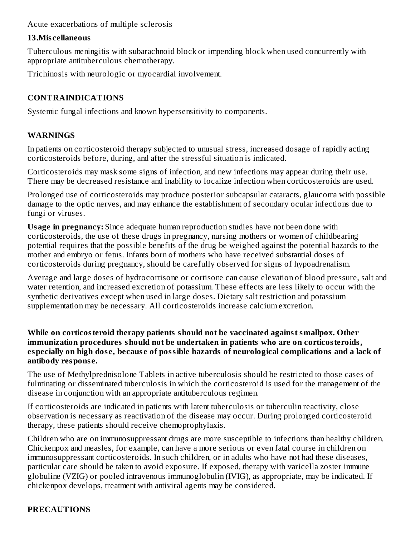Acute exacerbations of multiple sclerosis

#### **13.Mis cellaneous**

Tuberculous meningitis with subarachnoid block or impending block when used concurrently with appropriate antituberculous chemotherapy.

Trichinosis with neurologic or myocardial involvement.

## **CONTRAINDICATIONS**

Systemic fungal infections and known hypersensitivity to components.

## **WARNINGS**

In patients on corticosteroid therapy subjected to unusual stress, increased dosage of rapidly acting corticosteroids before, during, and after the stressful situation is indicated.

Corticosteroids may mask some signs of infection, and new infections may appear during their use. There may be decreased resistance and inability to localize infection when corticosteroids are used.

Prolonged use of corticosteroids may produce posterior subcapsular cataracts, glaucoma with possible damage to the optic nerves, and may enhance the establishment of secondary ocular infections due to fungi or viruses.

**Usage in pregnancy:** Since adequate human reproduction studies have not been done with corticosteroids, the use of these drugs in pregnancy, nursing mothers or women of childbearing potential requires that the possible benefits of the drug be weighed against the potential hazards to the mother and embryo or fetus. Infants born of mothers who have received substantial doses of corticosteroids during pregnancy, should be carefully observed for signs of hypoadrenalism.

Average and large doses of hydrocortisone or cortisone can cause elevation of blood pressure, salt and water retention, and increased excretion of potassium. These effects are less likely to occur with the synthetic derivatives except when used in large doses. Dietary salt restriction and potassium supplementation may be necessary. All corticosteroids increase calcium excretion.

#### **While on corticosteroid therapy patients should not be vaccinated against smallpox. Other immunization procedures should not be undertaken in patients who are on corticosteroids, especially on high dos e, becaus e of possible hazards of neurological complications and a lack of antibody respons e.**

The use of Methylprednisolone Tablets in active tuberculosis should be restricted to those cases of fulminating or disseminated tuberculosis in which the corticosteroid is used for the management of the disease in conjunction with an appropriate antituberculous regimen.

If corticosteroids are indicated in patients with latent tuberculosis or tuberculin reactivity, close observation is necessary as reactivation of the disease may occur. During prolonged corticosteroid therapy, these patients should receive chemoprophylaxis.

Children who are on immunosuppressant drugs are more susceptible to infections than healthy children. Chickenpox and measles, for example, can have a more serious or even fatal course in children on immunosuppressant corticosteroids. In such children, or in adults who have not had these diseases, particular care should be taken to avoid exposure. If exposed, therapy with varicella zoster immune globuline (VZIG) or pooled intravenous immunoglobulin (IVIG), as appropriate, may be indicated. If chickenpox develops, treatment with antiviral agents may be considered.

## **PRECAUTIONS**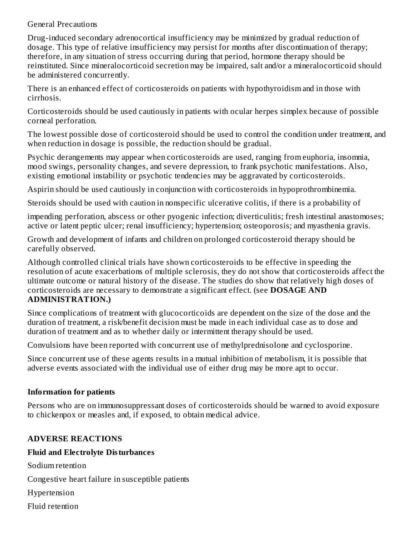## General Precautions

Drug-induced secondary adrenocortical insufficiency may be minimized by gradual reduction of dosage. This type of relative insufficiency may persist for months after discontinuation of therapy; therefore, in any situation of stress occurring during that period, hormone therapy should be reinstituted. Since mineralocorticoid secretion may be impaired, salt and/or a mineralocorticoid should be administered concurrently.

There is an enhanced effect of corticosteroids on patients with hypothyroidism and in those with cirrhosis.

Corticosteroids should be used cautiously in patients with ocular herpes simplex because of possible corneal perforation.

The lowest possible dose of corticosteroid should be used to control the condition under treatment, and when reduction in dosage is possible, the reduction should be gradual.

Psychic derangements may appear when corticosteroids are used, ranging from euphoria, insomnia, mood swings, personality changes, and severe depression, to frank psychotic manifestations. Also, existing emotional instability or psychotic tendencies may be aggravated by corticosteroids.

Aspirin should be used cautiously in conjunction with corticosteroids in hypoprothrombinemia.

Steroids should be used with caution in nonspecific ulcerative colitis, if there is a probability of

impending perforation, abscess or other pyogenic infection; diverticulitis; fresh intestinal anastomoses; active or latent peptic ulcer; renal insufficiency; hypertension; osteoporosis; and myasthenia gravis.

Growth and development of infants and children on prolonged corticosteroid therapy should be carefully observed.

Although controlled clinical trials have shown corticosteroids to be effective in speeding the resolution of acute exacerbations of multiple sclerosis, they do not show that corticosteroids affect the ultimate outcome or natural history of the disease. The studies do show that relatively high doses of corticosteroids are necessary to demonstrate a significant effect. (see **DOSAGE AND ADMINISTRATION.)**

Since complications of treatment with glucocorticoids are dependent on the size of the dose and the duration of treatment, a risk/benefit decision must be made in each individual case as to dose and duration of treatment and as to whether daily or intermittent therapy should be used.

Convulsions have been reported with concurrent use of methylprednisolone and cyclosporine.

Since concurrent use of these agents results in a mutual inhibition of metabolism, it is possible that adverse events associated with the individual use of either drug may be more apt to occur.

## **Information for patients**

Persons who are on immunosuppressant doses of corticosteroids should be warned to avoid exposure to chickenpox or measles and, if exposed, to obtain medical advice.

# **ADVERSE REACTIONS**

## **Fluid and Electrolyte Disturbances**

Sodium retention

Congestive heart failure in susceptible patients

Hypertension

Fluid retention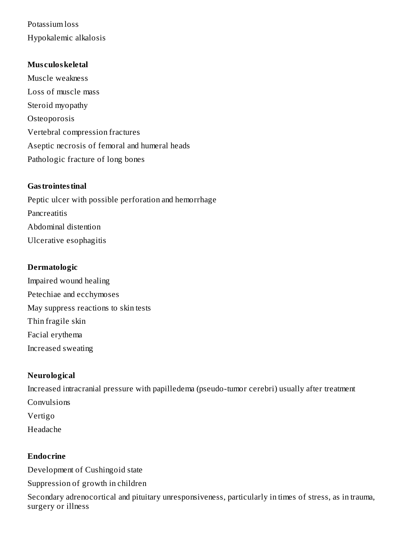Potassium loss Hypokalemic alkalosis

## **Mus culoskeletal**

Muscle weakness Loss of muscle mass Steroid myopathy **Osteoporosis** Vertebral compression fractures Aseptic necrosis of femoral and humeral heads Pathologic fracture of long bones

#### **Gastrointestinal**

Peptic ulcer with possible perforation and hemorrhage **Pancreatitis** Abdominal distention Ulcerative esophagitis

#### **Dermatologic**

Impaired wound healing Petechiae and ecchymoses May suppress reactions to skin tests Thin fragile skin Facial erythema Increased sweating

## **Neurological**

Increased intracranial pressure with papilledema (pseudo-tumor cerebri) usually after treatment Convulsions Vertigo Headache

## **Endocrine**

Development of Cushingoid state

Suppression of growth in children

Secondary adrenocortical and pituitary unresponsiveness, particularly in times of stress, as in trauma, surgery or illness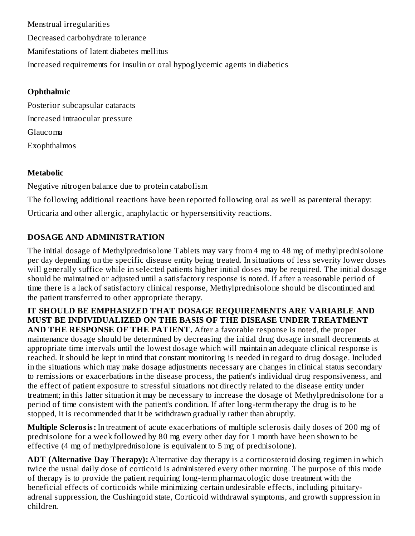Menstrual irregularities Decreased carbohydrate tolerance Manifestations of latent diabetes mellitus Increased requirements for insulin or oral hypoglycemic agents in diabetics

# **Ophthalmic**

Posterior subcapsular cataracts Increased intraocular pressure Glaucoma Exophthalmos

## **Metabolic**

Negative nitrogen balance due to protein catabolism

The following additional reactions have been reported following oral as well as parenteral therapy:

Urticaria and other allergic, anaphylactic or hypersensitivity reactions.

# **DOSAGE AND ADMINISTRATION**

The initial dosage of Methylprednisolone Tablets may vary from 4 mg to 48 mg of methylprednisolone per day depending on the specific disease entity being treated. In situations of less severity lower doses will generally suffice while in selected patients higher initial doses may be required. The initial dosage should be maintained or adjusted until a satisfactory response is noted. If after a reasonable period of time there is a lack of satisfactory clinical response, Methylprednisolone should be discontinued and the patient transferred to other appropriate therapy.

**IT SHOULD BE EMPHASIZED THAT DOSAGE REQUIREMENTS ARE VARIABLE AND MUST BE INDIVIDUALIZED ON THE BASIS OF THE DISEASE UNDER TREATMENT AND THE RESPONSE OF THE PATIENT.** After a favorable response is noted, the proper maintenance dosage should be determined by decreasing the initial drug dosage in small decrements at appropriate time intervals until the lowest dosage which will maintain an adequate clinical response is reached. It should be kept in mind that constant monitoring is needed in regard to drug dosage. Included in the situations which may make dosage adjustments necessary are changes in clinical status secondary to remissions or exacerbations in the disease process, the patient's individual drug responsiveness, and the effect of patient exposure to stressful situations not directly related to the disease entity under treatment; in this latter situation it may be necessary to increase the dosage of Methylprednisolone for a period of time consistent with the patient's condition. If after long-term therapy the drug is to be stopped, it is recommended that it be withdrawn gradually rather than abruptly.

**Multiple Sclerosis:** In treatment of acute exacerbations of multiple sclerosis daily doses of 200 mg of prednisolone for a week followed by 80 mg every other day for 1 month have been shown to be effective (4 mg of methylprednisolone is equivalent to 5 mg of prednisolone).

**ADT (Alternative Day Therapy):** Alternative day therapy is a corticosteroid dosing regimen in which twice the usual daily dose of corticoid is administered every other morning. The purpose of this mode of therapy is to provide the patient requiring long-term pharmacologic dose treatment with the beneficial effects of corticoids while minimizing certain undesirable effects, including pituitaryadrenal suppression, the Cushingoid state, Corticoid withdrawal symptoms, and growth suppression in children.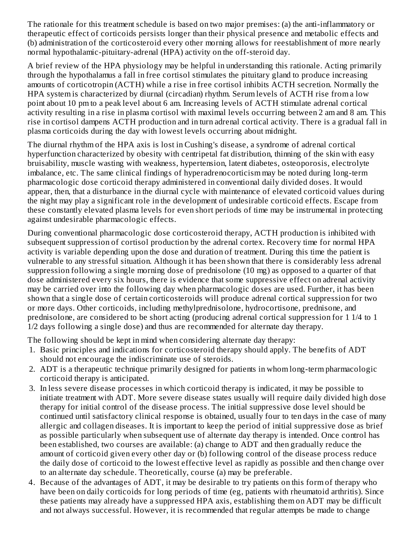The rationale for this treatment schedule is based on two major premises: (a) the anti-inflammatory or therapeutic effect of corticoids persists longer than their physical presence and metabolic effects and (b) administration of the corticosteroid every other morning allows for reestablishment of more nearly normal hypothalamic-pituitary-adrenal (HPA) activity on the off-steroid day.

A brief review of the HPA physiology may be helpful in understanding this rationale. Acting primarily through the hypothalamus a fall in free cortisol stimulates the pituitary gland to produce increasing amounts of corticotropin (ACTH) while a rise in free cortisol inhibits ACTH secretion. Normally the HPA system is characterized by diurnal (circadian) rhythm. Serum levels of ACTH rise from a low point about 10 pm to a peak level about 6 am. Increasing levels of ACTH stimulate adrenal cortical activity resulting in a rise in plasma cortisol with maximal levels occurring between 2 am and 8 am. This rise in cortisol dampens ACTH production and in turn adrenal cortical activity. There is a gradual fall in plasma corticoids during the day with lowest levels occurring about midnight.

The diurnal rhythm of the HPA axis is lost in Cushing's disease, a syndrome of adrenal cortical hyperfunction characterized by obesity with centripetal fat distribution, thinning of the skin with easy bruisability, muscle wasting with weakness, hypertension, latent diabetes, osteoporosis, electrolyte imbalance, etc. The same clinical findings of hyperadrenocorticism may be noted during long-term pharmacologic dose corticoid therapy administered in conventional daily divided doses. It would appear, then, that a disturbance in the diurnal cycle with maintenance of elevated corticoid values during the night may play a significant role in the development of undesirable corticoid effects. Escape from these constantly elevated plasma levels for even short periods of time may be instrumental in protecting against undesirable pharmacologic effects.

During conventional pharmacologic dose corticosteroid therapy, ACTH production is inhibited with subsequent suppression of cortisol production by the adrenal cortex. Recovery time for normal HPA activity is variable depending upon the dose and duration of treatment. During this time the patient is vulnerable to any stressful situation. Although it has been shown that there is considerably less adrenal suppression following a single morning dose of prednisolone (10 mg) as opposed to a quarter of that dose administered every six hours, there is evidence that some suppressive effect on adrenal activity may be carried over into the following day when pharmacologic doses are used. Further, it has been shown that a single dose of certain corticosteroids will produce adrenal cortical suppression for two or more days. Other corticoids, including methylprednisolone, hydrocortisone, prednisone, and prednisolone, are considered to be short acting (producing adrenal cortical suppression for 1 1/4 to 1 1/2 days following a single dose) and thus are recommended for alternate day therapy.

The following should be kept in mind when considering alternate day therapy:

- 1. Basic principles and indications for corticosteroid therapy should apply. The benefits of ADT should not encourage the indiscriminate use of steroids.
- 2. ADT is a therapeutic technique primarily designed for patients in whom long-term pharmacologic corticoid therapy is anticipated.
- 3. In less severe disease processes in which corticoid therapy is indicated, it may be possible to initiate treatment with ADT. More severe disease states usually will require daily divided high dose therapy for initial control of the disease process. The initial suppressive dose level should be continued until satisfactory clinical response is obtained, usually four to ten days in the case of many allergic and collagen diseases. It is important to keep the period of initial suppressive dose as brief as possible particularly when subsequent use of alternate day therapy is intended. Once control has been established, two courses are available: (a) change to ADT and then gradually reduce the amount of corticoid given every other day or (b) following control of the disease process reduce the daily dose of corticoid to the lowest effective level as rapidly as possible and then change over to an alternate day schedule. Theoretically, course (a) may be preferable.
- 4. Because of the advantages of ADT, it may be desirable to try patients on this form of therapy who have been on daily corticoids for long periods of time (eg, patients with rheumatoid arthritis). Since these patients may already have a suppressed HPA axis, establishing them on ADT may be difficult and not always successful. However, it is recommended that regular attempts be made to change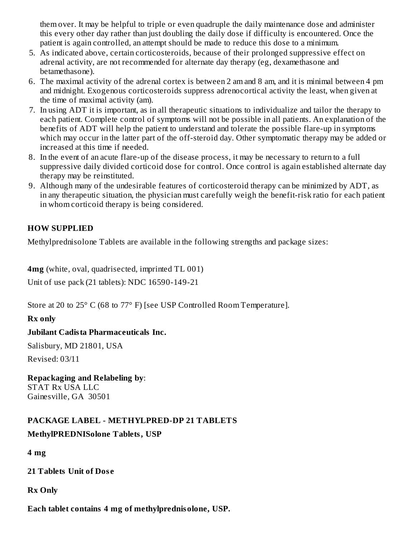them over. It may be helpful to triple or even quadruple the daily maintenance dose and administer this every other day rather than just doubling the daily dose if difficulty is encountered. Once the patient is again controlled, an attempt should be made to reduce this dose to a minimum.

- 5. As indicated above, certain corticosteroids, because of their prolonged suppressive effect on adrenal activity, are not recommended for alternate day therapy (eg, dexamethasone and betamethasone).
- 6. The maximal activity of the adrenal cortex is between 2 am and 8 am, and it is minimal between 4 pm and midnight. Exogenous corticosteroids suppress adrenocortical activity the least, when given at the time of maximal activity (am).
- 7. In using ADT it is important, as in all therapeutic situations to individualize and tailor the therapy to each patient. Complete control of symptoms will not be possible in all patients. An explanation of the benefits of ADT will help the patient to understand and tolerate the possible flare-up in symptoms which may occur in the latter part of the off-steroid day. Other symptomatic therapy may be added or increased at this time if needed.
- 8. In the event of an acute flare-up of the disease process, it may be necessary to return to a full suppressive daily divided corticoid dose for control. Once control is again established alternate day therapy may be reinstituted.
- 9. Although many of the undesirable features of corticosteroid therapy can be minimized by ADT, as in any therapeutic situation, the physician must carefully weigh the benefit-risk ratio for each patient in whom corticoid therapy is being considered.

# **HOW SUPPLIED**

Methylprednisolone Tablets are available in the following strengths and package sizes:

**4mg** (white, oval, quadrisected, imprinted TL 001)

Unit of use pack (21 tablets): NDC 16590-149-21

Store at 20 to 25° C (68 to 77° F) [see USP Controlled Room Temperature].

# **Rx only**

# **Jubilant Cadista Pharmaceuticals Inc.**

Salisbury, MD 21801, USA

Revised: 03/11

**Repackaging and Relabeling by**: STAT Rx USA LLC Gainesville, GA 30501

# **PACKAGE LABEL - METHYLPRED-DP 21 TABLETS**

# **MethylPREDNISolone Tablets, USP**

**4 mg**

**21 Tablets Unit of Dos e**

**Rx Only**

**Each tablet contains 4 mg of methylprednisolone, USP.**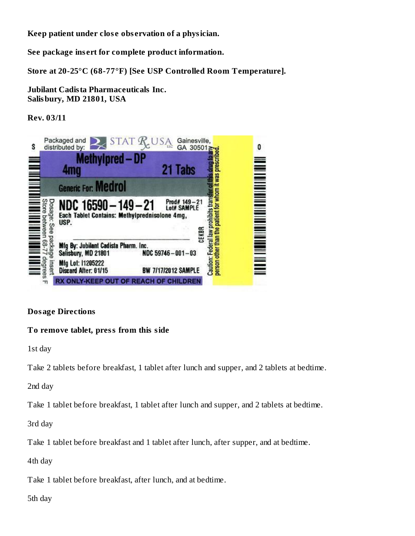**Keep patient under clos e obs ervation of a physician.**

**See package ins ert for complete product information.**

**Store at 20-25°C (68-77°F) [See USP Controlled Room Temperature].**

**Jubilant Cadista Pharmaceuticals Inc. Salisbury, MD 21801, USA**

**Rev. 03/11**



#### **Dosage Directions**

#### **To remove tablet, press from this side**

1st day

Take 2 tablets before breakfast, 1 tablet after lunch and supper, and 2 tablets at bedtime.

2nd day

Take 1 tablet before breakfast, 1 tablet after lunch and supper, and 2 tablets at bedtime.

3rd day

Take 1 tablet before breakfast and 1 tablet after lunch, after supper, and at bedtime.

4th day

Take 1 tablet before breakfast, after lunch, and at bedtime.

5th day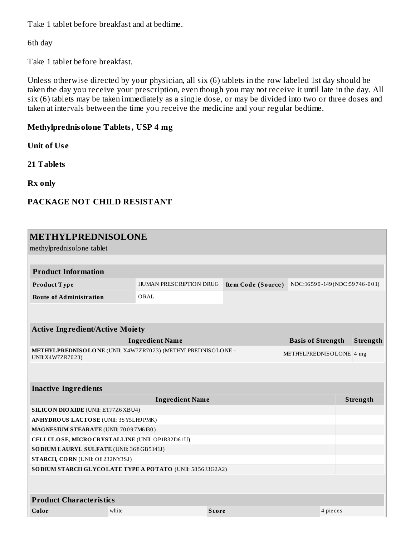Take 1 tablet before breakfast and at bedtime.

6th day

Take 1 tablet before breakfast.

Unless otherwise directed by your physician, all six (6) tablets in the row labeled 1st day should be taken the day you receive your prescription, even though you may not receive it until late in the day. All six (6) tablets may be taken immediately as a single dose, or may be divided into two or three doses and taken at intervals between the time you receive the medicine and your regular bedtime.

## **Methylprednisolone Tablets, USP 4 mg**

**Unit of Us e**

**21 Tablets**

**Rx only**

## **PACKAGE NOT CHILD RESISTANT**

| METHYLPREDNISOLONE                                                                                         |                          |                    |                              |  |  |  |  |
|------------------------------------------------------------------------------------------------------------|--------------------------|--------------------|------------------------------|--|--|--|--|
| methylprednisolone tablet                                                                                  |                          |                    |                              |  |  |  |  |
|                                                                                                            |                          |                    |                              |  |  |  |  |
|                                                                                                            |                          |                    |                              |  |  |  |  |
| <b>Product Information</b>                                                                                 |                          |                    |                              |  |  |  |  |
| Product Type                                                                                               | HUMAN PRESCRIPTION DRUG  | Item Code (Source) | NDC:16590-149(NDC:59746-001) |  |  |  |  |
| <b>Route of Administration</b>                                                                             | ORAL                     |                    |                              |  |  |  |  |
|                                                                                                            |                          |                    |                              |  |  |  |  |
|                                                                                                            |                          |                    |                              |  |  |  |  |
| <b>Active Ingredient/Active Moiety</b>                                                                     |                          |                    |                              |  |  |  |  |
| <b>Ingredient Name</b>                                                                                     | <b>Basis of Strength</b> | Strength           |                              |  |  |  |  |
| METHYLPREDNISOLONE (UNII: X4W7ZR7023) (METHYLPREDNISOLONE -<br>METHYLPREDNISOLONE 4 mg<br>UNII:X4W7ZR7023) |                          |                    |                              |  |  |  |  |
|                                                                                                            |                          |                    |                              |  |  |  |  |
|                                                                                                            |                          |                    |                              |  |  |  |  |
| <b>Inactive Ingredients</b>                                                                                |                          |                    |                              |  |  |  |  |
| <b>Ingredient Name</b>                                                                                     |                          |                    |                              |  |  |  |  |
| <b>SILICON DIO XIDE (UNII: ETJ7Z6 XBU4)</b>                                                                |                          |                    |                              |  |  |  |  |
| ANHYDROUS LACTOSE (UNII: 3SY5LH9 PMK)                                                                      |                          |                    |                              |  |  |  |  |
| MAGNESIUM STEARATE (UNII: 70097M6I30)                                                                      |                          |                    |                              |  |  |  |  |
| CELLULOSE, MICRO CRYSTALLINE (UNII: OP1R32D61U)                                                            |                          |                    |                              |  |  |  |  |
| SODIUM LAURYL SULFATE (UNII: 368GB5141J)                                                                   |                          |                    |                              |  |  |  |  |
| STARCH, CORN (UNII: O8232NY3SJ)                                                                            |                          |                    |                              |  |  |  |  |
| SO DIUM STARCH GLYCOLATE TYPE A POTATO (UNII: 5856J3G2A2)                                                  |                          |                    |                              |  |  |  |  |
|                                                                                                            |                          |                    |                              |  |  |  |  |
|                                                                                                            |                          |                    |                              |  |  |  |  |
| <b>Product Characteristics</b>                                                                             |                          |                    |                              |  |  |  |  |
| Color<br>white                                                                                             |                          | Score              | 4 pieces                     |  |  |  |  |